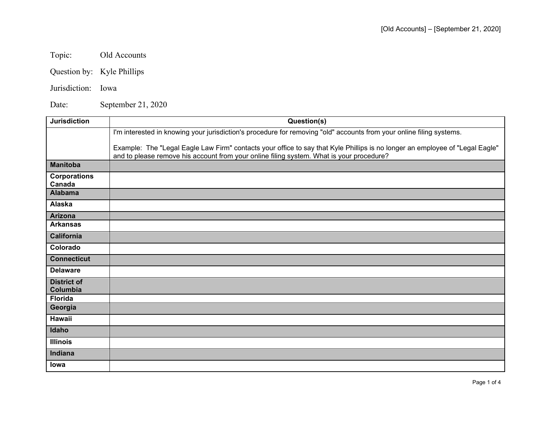Topic: Old Accounts

Question by: Kyle Phillips

Jurisdiction: Iowa

Date: September 21, 2020

| <b>Jurisdiction</b>            | Question(s)                                                                                                                                                                                                              |
|--------------------------------|--------------------------------------------------------------------------------------------------------------------------------------------------------------------------------------------------------------------------|
|                                | I'm interested in knowing your jurisdiction's procedure for removing "old" accounts from your online filing systems.                                                                                                     |
|                                | Example: The "Legal Eagle Law Firm" contacts your office to say that Kyle Phillips is no longer an employee of "Legal Eagle"<br>and to please remove his account from your online filing system. What is your procedure? |
| <b>Manitoba</b>                |                                                                                                                                                                                                                          |
| <b>Corporations</b><br>Canada  |                                                                                                                                                                                                                          |
| <b>Alabama</b>                 |                                                                                                                                                                                                                          |
| Alaska                         |                                                                                                                                                                                                                          |
| <b>Arizona</b>                 |                                                                                                                                                                                                                          |
| <b>Arkansas</b>                |                                                                                                                                                                                                                          |
| <b>California</b>              |                                                                                                                                                                                                                          |
| Colorado                       |                                                                                                                                                                                                                          |
| <b>Connecticut</b>             |                                                                                                                                                                                                                          |
| <b>Delaware</b>                |                                                                                                                                                                                                                          |
| <b>District of</b><br>Columbia |                                                                                                                                                                                                                          |
| <b>Florida</b>                 |                                                                                                                                                                                                                          |
| Georgia                        |                                                                                                                                                                                                                          |
| <b>Hawaii</b>                  |                                                                                                                                                                                                                          |
| Idaho                          |                                                                                                                                                                                                                          |
| <b>Illinois</b>                |                                                                                                                                                                                                                          |
| Indiana                        |                                                                                                                                                                                                                          |
| lowa                           |                                                                                                                                                                                                                          |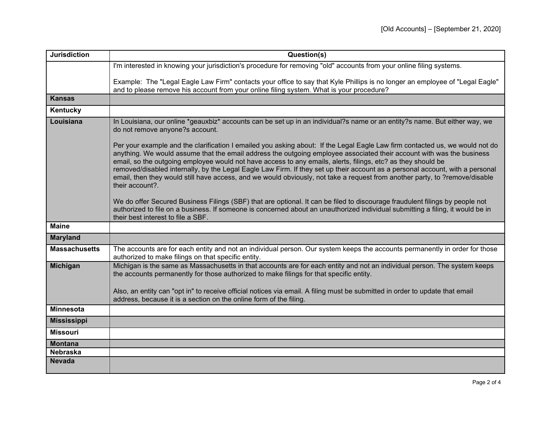| <b>Jurisdiction</b>  | Question(s)                                                                                                                                                                                                                                                                                                                                                                                                                                                                                                                                                                                                                                              |
|----------------------|----------------------------------------------------------------------------------------------------------------------------------------------------------------------------------------------------------------------------------------------------------------------------------------------------------------------------------------------------------------------------------------------------------------------------------------------------------------------------------------------------------------------------------------------------------------------------------------------------------------------------------------------------------|
|                      | I'm interested in knowing your jurisdiction's procedure for removing "old" accounts from your online filing systems.                                                                                                                                                                                                                                                                                                                                                                                                                                                                                                                                     |
|                      | Example: The "Legal Eagle Law Firm" contacts your office to say that Kyle Phillips is no longer an employee of "Legal Eagle"<br>and to please remove his account from your online filing system. What is your procedure?                                                                                                                                                                                                                                                                                                                                                                                                                                 |
| <b>Kansas</b>        |                                                                                                                                                                                                                                                                                                                                                                                                                                                                                                                                                                                                                                                          |
| Kentucky             |                                                                                                                                                                                                                                                                                                                                                                                                                                                                                                                                                                                                                                                          |
| Louisiana            | In Louisiana, our online *geauxbiz* accounts can be set up in an individual?s name or an entity?s name. But either way, we<br>do not remove anyone?s account.                                                                                                                                                                                                                                                                                                                                                                                                                                                                                            |
|                      | Per your example and the clarification I emailed you asking about: If the Legal Eagle Law firm contacted us, we would not do<br>anything. We would assume that the email address the outgoing employee associated their account with was the business<br>email, so the outgoing employee would not have access to any emails, alerts, filings, etc? as they should be<br>removed/disabled internally, by the Legal Eagle Law Firm. If they set up their account as a personal account, with a personal<br>email, then they would still have access, and we would obviously, not take a request from another party, to ?remove/disable<br>their account?. |
|                      | We do offer Secured Business Filings (SBF) that are optional. It can be filed to discourage fraudulent filings by people not<br>authorized to file on a business. If someone is concerned about an unauthorized individual submitting a filing, it would be in<br>their best interest to file a SBF.                                                                                                                                                                                                                                                                                                                                                     |
| <b>Maine</b>         |                                                                                                                                                                                                                                                                                                                                                                                                                                                                                                                                                                                                                                                          |
| <b>Maryland</b>      |                                                                                                                                                                                                                                                                                                                                                                                                                                                                                                                                                                                                                                                          |
| <b>Massachusetts</b> | The accounts are for each entity and not an individual person. Our system keeps the accounts permanently in order for those<br>authorized to make filings on that specific entity.                                                                                                                                                                                                                                                                                                                                                                                                                                                                       |
| <b>Michigan</b>      | Michigan is the same as Massachusetts in that accounts are for each entity and not an individual person. The system keeps<br>the accounts permanently for those authorized to make filings for that specific entity.                                                                                                                                                                                                                                                                                                                                                                                                                                     |
|                      | Also, an entity can "opt in" to receive official notices via email. A filing must be submitted in order to update that email<br>address, because it is a section on the online form of the filing.                                                                                                                                                                                                                                                                                                                                                                                                                                                       |
| <b>Minnesota</b>     |                                                                                                                                                                                                                                                                                                                                                                                                                                                                                                                                                                                                                                                          |
| <b>Mississippi</b>   |                                                                                                                                                                                                                                                                                                                                                                                                                                                                                                                                                                                                                                                          |
| <b>Missouri</b>      |                                                                                                                                                                                                                                                                                                                                                                                                                                                                                                                                                                                                                                                          |
| <b>Montana</b>       |                                                                                                                                                                                                                                                                                                                                                                                                                                                                                                                                                                                                                                                          |
| <b>Nebraska</b>      |                                                                                                                                                                                                                                                                                                                                                                                                                                                                                                                                                                                                                                                          |
| <b>Nevada</b>        |                                                                                                                                                                                                                                                                                                                                                                                                                                                                                                                                                                                                                                                          |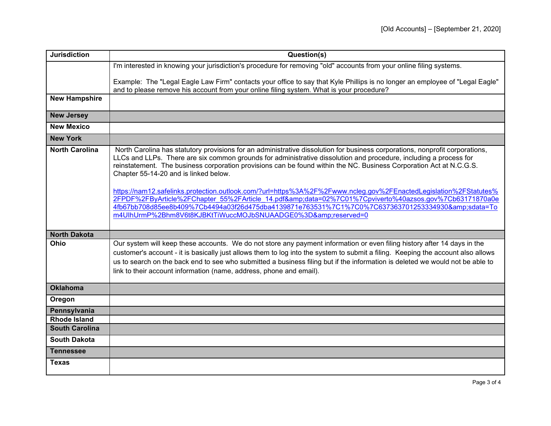| <b>Jurisdiction</b>   | Question(s)                                                                                                                                                                                                                                                                                                                                                                                                                                                                                                                                                                                                                                                                                                                                                                                               |
|-----------------------|-----------------------------------------------------------------------------------------------------------------------------------------------------------------------------------------------------------------------------------------------------------------------------------------------------------------------------------------------------------------------------------------------------------------------------------------------------------------------------------------------------------------------------------------------------------------------------------------------------------------------------------------------------------------------------------------------------------------------------------------------------------------------------------------------------------|
|                       | I'm interested in knowing your jurisdiction's procedure for removing "old" accounts from your online filing systems.                                                                                                                                                                                                                                                                                                                                                                                                                                                                                                                                                                                                                                                                                      |
|                       | Example: The "Legal Eagle Law Firm" contacts your office to say that Kyle Phillips is no longer an employee of "Legal Eagle"<br>and to please remove his account from your online filing system. What is your procedure?                                                                                                                                                                                                                                                                                                                                                                                                                                                                                                                                                                                  |
| <b>New Hampshire</b>  |                                                                                                                                                                                                                                                                                                                                                                                                                                                                                                                                                                                                                                                                                                                                                                                                           |
| <b>New Jersey</b>     |                                                                                                                                                                                                                                                                                                                                                                                                                                                                                                                                                                                                                                                                                                                                                                                                           |
| <b>New Mexico</b>     |                                                                                                                                                                                                                                                                                                                                                                                                                                                                                                                                                                                                                                                                                                                                                                                                           |
| <b>New York</b>       |                                                                                                                                                                                                                                                                                                                                                                                                                                                                                                                                                                                                                                                                                                                                                                                                           |
| <b>North Carolina</b> | North Carolina has statutory provisions for an administrative dissolution for business corporations, nonprofit corporations,<br>LLCs and LLPs. There are six common grounds for administrative dissolution and procedure, including a process for<br>reinstatement. The business corporation provisions can be found within the NC. Business Corporation Act at N.C.G.S.<br>Chapter 55-14-20 and is linked below.<br>https://nam12.safelinks.protection.outlook.com/?url=https%3A%2F%2Fwww.ncleg.gov%2FEnactedLegislation%2FStatutes%<br>2FPDF%2FByArticle%2FChapter 55%2FArticle 14.pdf&data=02%7C01%7Cpviverto%40azsos.gov%7Cb63171870a0e<br>4fb67bb708d85ee8b409%7Cb4494a03f26d475dba4139871e763531%7C1%7C0%7C637363701253334930&sdata=To<br>m4UlhUrmP%2Bhm8V6t8KJBKtTiWuccMOJbSNUAADGE0%3D&reserved=0 |
| <b>North Dakota</b>   |                                                                                                                                                                                                                                                                                                                                                                                                                                                                                                                                                                                                                                                                                                                                                                                                           |
| Ohio                  | Our system will keep these accounts. We do not store any payment information or even filing history after 14 days in the<br>customer's account - it is basically just allows them to log into the system to submit a filing. Keeping the account also allows<br>us to search on the back end to see who submitted a business filing but if the information is deleted we would not be able to<br>link to their account information (name, address, phone and email).                                                                                                                                                                                                                                                                                                                                      |
| <b>Oklahoma</b>       |                                                                                                                                                                                                                                                                                                                                                                                                                                                                                                                                                                                                                                                                                                                                                                                                           |
| Oregon                |                                                                                                                                                                                                                                                                                                                                                                                                                                                                                                                                                                                                                                                                                                                                                                                                           |
| Pennsylvania          |                                                                                                                                                                                                                                                                                                                                                                                                                                                                                                                                                                                                                                                                                                                                                                                                           |
| <b>Rhode Island</b>   |                                                                                                                                                                                                                                                                                                                                                                                                                                                                                                                                                                                                                                                                                                                                                                                                           |
| <b>South Carolina</b> |                                                                                                                                                                                                                                                                                                                                                                                                                                                                                                                                                                                                                                                                                                                                                                                                           |
| <b>South Dakota</b>   |                                                                                                                                                                                                                                                                                                                                                                                                                                                                                                                                                                                                                                                                                                                                                                                                           |
| <b>Tennessee</b>      |                                                                                                                                                                                                                                                                                                                                                                                                                                                                                                                                                                                                                                                                                                                                                                                                           |
| <b>Texas</b>          |                                                                                                                                                                                                                                                                                                                                                                                                                                                                                                                                                                                                                                                                                                                                                                                                           |